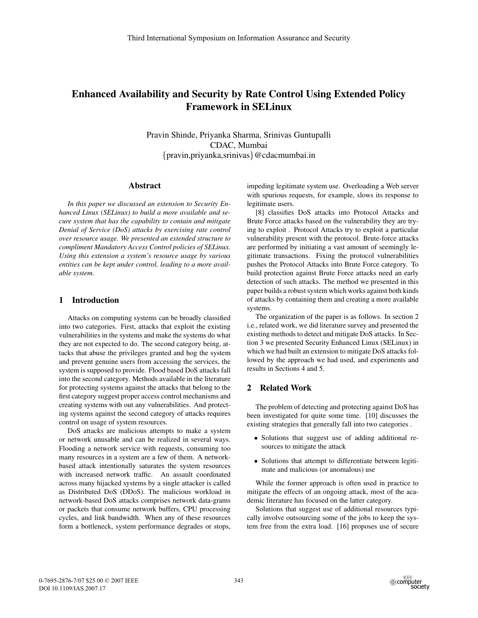# **Enhanced Availability and Security by Rate Control Using Extended Policy Framework in SELinux**

Pravin Shinde, Priyanka Sharma, Srinivas Guntupalli CDAC, Mumbai *{*pravin,priyanka,srinivas*}*@cdacmumbai.in

## **Abstract**

*In this paper we discussed an extension to Security Enhanced Linux (SELinux) to build a more available and secure system that has the capability to contain and mitigate Denial of Service (DoS) attacks by exercising rate control over resource usage. We presented an extended structure to compliment Mandatory Access Control policies of SELinux. Using this extension a system's resource usage by various entities can be kept under control, leading to a more available system.*

# **1 Introduction**

Attacks on computing systems can be broadly classified into two categories. First, attacks that exploit the existing vulnerabilities in the systems and make the systems do what they are not expected to do. The second category being, attacks that abuse the privileges granted and hog the system and prevent genuine users from accessing the services, the system is supposed to provide. Flood based DoS attacks fall into the second category. Methods available in the literature for protecting systems against the attacks that belong to the first category suggest proper access control mechanisms and creating systems with out any vulnerabilities. And protecting systems against the second category of attacks requires control on usage of system resources.

DoS attacks are malicious attempts to make a system or network unusable and can be realized in several ways. Flooding a network service with requests, consuming too many resources in a system are a few of them. A networkbased attack intentionally saturates the system resources with increased network traffic. An assault coordinated across many hijacked systems by a single attacker is called as Distributed DoS (DDoS). The malicious workload in network-based DoS attacks comprises network data-grams or packets that consume network buffers, CPU processing cycles, and link bandwidth. When any of these resources form a bottleneck, system performance degrades or stops, impeding legitimate system use. Overloading a Web server with spurious requests, for example, slows its response to legitimate users.

[8] classifies DoS attacks into Protocol Attacks and Brute Force attacks based on the vulnerability they are trying to exploit . Protocol Attacks try to exploit a particular vulnerability present with the protocol. Brute-force attacks are performed by initiating a vast amount of seemingly legitimate transactions. Fixing the protocol vulnerabilities pushes the Protocol Attacks into Brute Force category. To build protection against Brute Force attacks need an early detection of such attacks. The method we presented in this paper builds a robust system which works against both kinds of attacks by containing them and creating a more available systems.

The organization of the paper is as follows. In section 2 i.e., related work, we did literature survey and presented the existing methods to detect and mitigate DoS attacks. In Section 3 we presented Security Enhanced Linux (SELinux) in which we had built an extension to mitigate DoS attacks followed by the approach we had used, and experiments and results in Sections 4 and 5.

# **2 Related Work**

The problem of detecting and protecting against DoS has been investigated for quite some time. [10] discusses the existing strategies that generally fall into two categories .

- *•* Solutions that suggest use of adding additional resources to mitigate the attack
- *•* Solutions that attempt to differentiate between legitimate and malicious (or anomalous) use

While the former approach is often used in practice to mitigate the effects of an ongoing attack, most of the academic literature has focused on the latter category.

Solutions that suggest use of additional resources typically involve outsourcing some of the jobs to keep the system free from the extra load. [16] proposes use of secure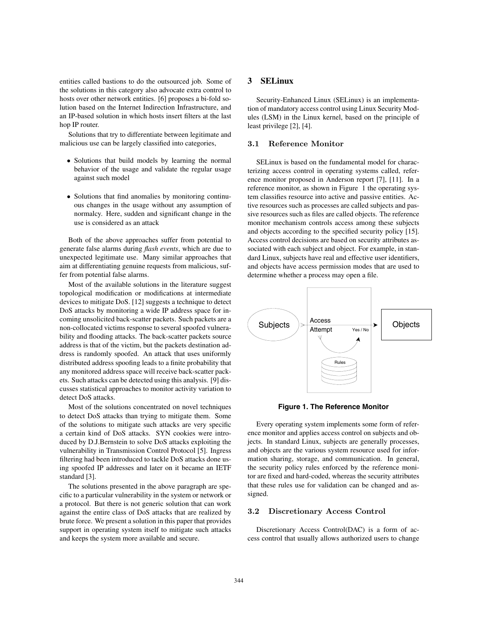entities called bastions to do the outsourced job. Some of the solutions in this category also advocate extra control to hosts over other network entities. [6] proposes a bi-fold solution based on the Internet Indirection Infrastructure, and an IP-based solution in which hosts insert filters at the last hop IP router.

Solutions that try to differentiate between legitimate and malicious use can be largely classified into categories,

- *•* Solutions that build models by learning the normal behavior of the usage and validate the regular usage against such model
- *•* Solutions that find anomalies by monitoring continuous changes in the usage without any assumption of normalcy. Here, sudden and significant change in the use is considered as an attack

Both of the above approaches suffer from potential to generate false alarms during *flash events*, which are due to unexpected legitimate use. Many similar approaches that aim at differentiating genuine requests from malicious, suffer from potential false alarms.

Most of the available solutions in the literature suggest topological modification or modifications at intermediate devices to mitigate DoS. [12] suggests a technique to detect DoS attacks by monitoring a wide IP address space for incoming unsolicited back-scatter packets. Such packets are a non-collocated victims response to several spoofed vulnerability and flooding attacks. The back-scatter packets source address is that of the victim, but the packets destination address is randomly spoofed. An attack that uses uniformly distributed address spoofing leads to a finite probability that any monitored address space will receive back-scatter packets. Such attacks can be detected using this analysis. [9] discusses statistical approaches to monitor activity variation to detect DoS attacks.

Most of the solutions concentrated on novel techniques to detect DoS attacks than trying to mitigate them. Some of the solutions to mitigate such attacks are very specific a certain kind of DoS attacks. SYN cookies were introduced by D.J.Bernstein to solve DoS attacks exploiting the vulnerability in Transmission Control Protocol [5]. Ingress filtering had been introduced to tackle DoS attacks done using spoofed IP addresses and later on it became an IETF standard [3].

The solutions presented in the above paragraph are specific to a particular vulnerability in the system or network or a protocol. But there is not generic solution that can work against the entire class of DoS attacks that are realized by brute force. We present a solution in this paper that provides support in operating system itself to mitigate such attacks and keeps the system more available and secure.

# **3 SELinux**

Security-Enhanced Linux (SELinux) is an implementation of mandatory access control using Linux Security Modules (LSM) in the Linux kernel, based on the principle of least privilege [2], [4].

## **3.1 Reference Monitor**

SELinux is based on the fundamental model for characterizing access control in operating systems called, reference monitor proposed in Anderson report [7], [11]. In a reference monitor, as shown in Figure 1 the operating system classifies resource into active and passive entities. Active resources such as processes are called subjects and passive resources such as files are called objects. The reference monitor mechanism controls access among these subjects and objects according to the specified security policy [15]. Access control decisions are based on security attributes associated with each subject and object. For example, in standard Linux, subjects have real and effective user identifiers, and objects have access permission modes that are used to determine whether a process may open a file.





Every operating system implements some form of reference monitor and applies access control on subjects and objects. In standard Linux, subjects are generally processes, and objects are the various system resource used for information sharing, storage, and communication. In general, the security policy rules enforced by the reference monitor are fixed and hard-coded, whereas the security attributes that these rules use for validation can be changed and assigned.

## **3.2 Discretionary Access Control**

Discretionary Access Control(DAC) is a form of access control that usually allows authorized users to change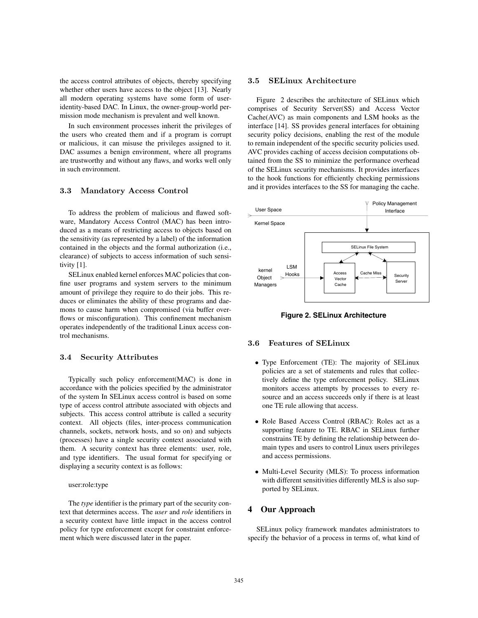the access control attributes of objects, thereby specifying whether other users have access to the object [13]. Nearly all modern operating systems have some form of useridentity-based DAC. In Linux, the owner-group-world permission mode mechanism is prevalent and well known.

In such environment processes inherit the privileges of the users who created them and if a program is corrupt or malicious, it can misuse the privileges assigned to it. DAC assumes a benign environment, where all programs are trustworthy and without any flaws, and works well only in such environment.

#### **3.3 Mandatory Access Control**

To address the problem of malicious and flawed software, Mandatory Access Control (MAC) has been introduced as a means of restricting access to objects based on the sensitivity (as represented by a label) of the information contained in the objects and the formal authorization (i.e., clearance) of subjects to access information of such sensitivity [1].

SELinux enabled kernel enforces MAC policies that confine user programs and system servers to the minimum amount of privilege they require to do their jobs. This reduces or eliminates the ability of these programs and daemons to cause harm when compromised (via buffer overflows or misconfiguration). This confinement mechanism operates independently of the traditional Linux access control mechanisms.

## **3.4 Security Attributes**

Typically such policy enforcement(MAC) is done in accordance with the policies specified by the administrator of the system In SELinux access control is based on some type of access control attribute associated with objects and subjects. This access control attribute is called a security context. All objects (files, inter-process communication channels, sockets, network hosts, and so on) and subjects (processes) have a single security context associated with them. A security context has three elements: user, role, and type identifiers. The usual format for specifying or displaying a security context is as follows:

#### user:role:type

The *type* identifier is the primary part of the security context that determines access. The *user* and *role* identifiers in a security context have little impact in the access control policy for type enforcement except for constraint enforcement which were discussed later in the paper.

# **3.5 SELinux Architecture**

Figure 2 describes the architecture of SELinux which comprises of Security Server(SS) and Access Vector Cache(AVC) as main components and LSM hooks as the interface [14]. SS provides general interfaces for obtaining security policy decisions, enabling the rest of the module to remain independent of the specific security policies used. AVC provides caching of access decision computations obtained from the SS to minimize the performance overhead of the SELinux security mechanisms. It provides interfaces to the hook functions for efficiently checking permissions and it provides interfaces to the SS for managing the cache.



**Figure 2. SELinux Architecture**

## **3.6 Features of SELinux**

- *•* Type Enforcement (TE): The majority of SELinux policies are a set of statements and rules that collectively define the type enforcement policy. SELinux monitors access attempts by processes to every resource and an access succeeds only if there is at least one TE rule allowing that access.
- *•* Role Based Access Control (RBAC): Roles act as a supporting feature to TE. RBAC in SELinux further constrains TE by defining the relationship between domain types and users to control Linux users privileges and access permissions.
- *•* Multi-Level Security (MLS): To process information with different sensitivities differently MLS is also supported by SELinux.

## **4 Our Approach**

SELinux policy framework mandates administrators to specify the behavior of a process in terms of, what kind of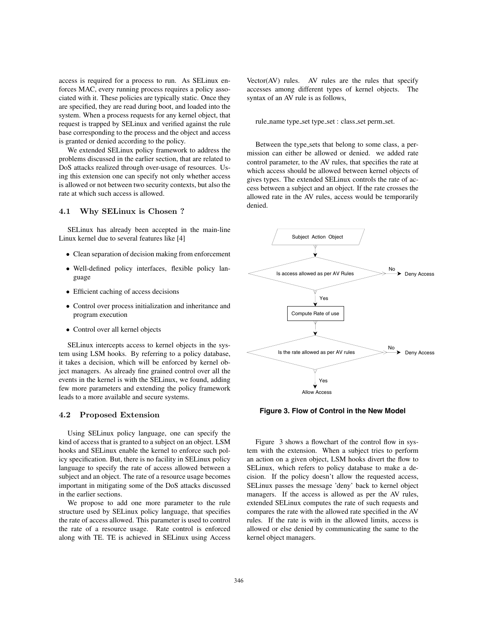access is required for a process to run. As SELinux enforces MAC, every running process requires a policy associated with it. These policies are typically static. Once they are specified, they are read during boot, and loaded into the system. When a process requests for any kernel object, that request is trapped by SELinux and verified against the rule base corresponding to the process and the object and access is granted or denied according to the policy.

We extended SELinux policy framework to address the problems discussed in the earlier section, that are related to DoS attacks realized through over-usage of resources. Using this extension one can specify not only whether access is allowed or not between two security contexts, but also the rate at which such access is allowed.

#### **4.1 Why SELinux is Chosen ?**

SELinux has already been accepted in the main-line Linux kernel due to several features like [4]

- *•* Clean separation of decision making from enforcement
- *•* Well-defined policy interfaces, flexible policy language
- *•* Efficient caching of access decisions
- *•* Control over process initialization and inheritance and program execution
- *•* Control over all kernel objects

SELinux intercepts access to kernel objects in the system using LSM hooks. By referring to a policy database, it takes a decision, which will be enforced by kernel object managers. As already fine grained control over all the events in the kernel is with the SELinux, we found, adding few more parameters and extending the policy framework leads to a more available and secure systems.

#### **4.2 Proposed Extension**

Using SELinux policy language, one can specify the kind of access that is granted to a subject on an object. LSM hooks and SELinux enable the kernel to enforce such policy specification. But, there is no facility in SELinux policy language to specify the rate of access allowed between a subject and an object. The rate of a resource usage becomes important in mitigating some of the DoS attacks discussed in the earlier sections.

We propose to add one more parameter to the rule structure used by SELinux policy language, that specifies the rate of access allowed. This parameter is used to control the rate of a resource usage. Rate control is enforced along with TE. TE is achieved in SELinux using Access Vector(AV) rules. AV rules are the rules that specify accesses among different types of kernel objects. The syntax of an AV rule is as follows,

rule\_name type\_set type\_set : class\_set perm\_set.

Between the type\_sets that belong to some class, a permission can either be allowed or denied. we added rate control parameter, to the AV rules, that specifies the rate at which access should be allowed between kernel objects of gives types. The extended SELinux controls the rate of access between a subject and an object. If the rate crosses the allowed rate in the AV rules, access would be temporarily denied.



**Figure 3. Flow of Control in the New Model**

Figure 3 shows a flowchart of the control flow in system with the extension. When a subject tries to perform an action on a given object, LSM hooks divert the flow to SELinux, which refers to policy database to make a decision. If the policy doesn't allow the requested access, SELinux passes the message 'deny' back to kernel object managers. If the access is allowed as per the AV rules, extended SELinux computes the rate of such requests and compares the rate with the allowed rate specified in the AV rules. If the rate is with in the allowed limits, access is allowed or else denied by communicating the same to the kernel object managers.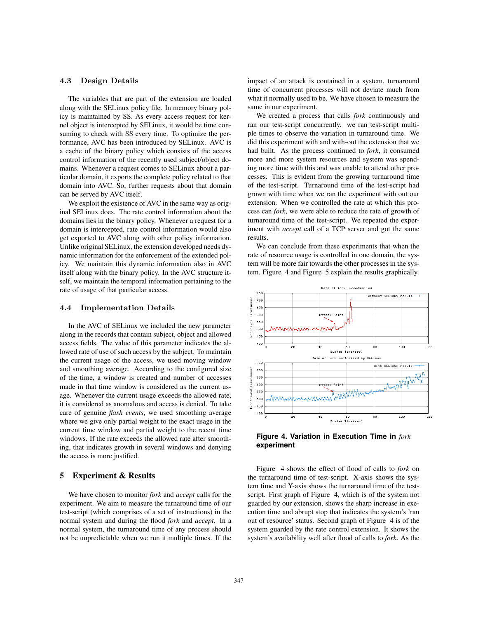#### **4.3 Design Details**

The variables that are part of the extension are loaded along with the SELinux policy file. In memory binary policy is maintained by SS. As every access request for kernel object is intercepted by SELinux, it would be time consuming to check with SS every time. To optimize the performance, AVC has been introduced by SELinux. AVC is a cache of the binary policy which consists of the access control information of the recently used subject/object domains. Whenever a request comes to SELinux about a particular domain, it exports the complete policy related to that domain into AVC. So, further requests about that domain can be served by AVC itself.

We exploit the existence of AVC in the same way as original SELinux does. The rate control information about the domains lies in the binary policy. Whenever a request for a domain is intercepted, rate control information would also get exported to AVC along with other policy information. Unlike original SELinux, the extension developed needs dynamic information for the enforcement of the extended policy. We maintain this dynamic information also in AVC itself along with the binary policy. In the AVC structure itself, we maintain the temporal information pertaining to the rate of usage of that particular access.

#### **4.4 Implementation Details**

In the AVC of SELinux we included the new parameter along in the records that contain subject, object and allowed access fields. The value of this parameter indicates the allowed rate of use of such access by the subject. To maintain the current usage of the access, we used moving window and smoothing average. According to the configured size of the time, a window is created and number of accesses made in that time window is considered as the current usage. Whenever the current usage exceeds the allowed rate, it is considered as anomalous and access is denied. To take care of genuine *flash events*, we used smoothing average where we give only partial weight to the exact usage in the current time window and partial weight to the recent time windows. If the rate exceeds the allowed rate after smoothing, that indicates growth in several windows and denying the access is more justified.

# **5 Experiment & Results**

We have chosen to monitor *fork* and *accept* calls for the experiment. We aim to measure the turnaround time of our test-script (which comprises of a set of instructions) in the normal system and during the flood *fork* and *accept*. In a normal system, the turnaround time of any process should not be unpredictable when we run it multiple times. If the impact of an attack is contained in a system, turnaround time of concurrent processes will not deviate much from what it normally used to be. We have chosen to measure the same in our experiment.

We created a process that calls *fork* continuously and ran our test-script concurrently. we ran test-script multiple times to observe the variation in turnaround time. We did this experiment with and with-out the extension that we had built. As the process continued to *fork*, it consumed more and more system resources and system was spending more time with this and was unable to attend other processes. This is evident from the growing turnaround time of the test-script. Turnaround time of the test-script had grown with time when we ran the experiment with out our extension. When we controlled the rate at which this process can *fork*, we were able to reduce the rate of growth of turnaround time of the test-script. We repeated the experiment with *accept* call of a TCP server and got the same results.

We can conclude from these experiments that when the rate of resource usage is controlled in one domain, the system will be more fair towards the other processes in the system. Figure 4 and Figure 5 explain the results graphically.



**Figure 4. Variation in Execution Time in** *fork* **experiment**

Figure 4 shows the effect of flood of calls to *fork* on the turnaround time of test-script. X-axis shows the system time and Y-axis shows the turnaround time of the testscript. First graph of Figure 4, which is of the system not guarded by our extension, shows the sharp increase in execution time and abrupt stop that indicates the system's 'ran out of resource' status. Second graph of Figure 4 is of the system guarded by the rate control extension. It shows the system's availability well after flood of calls to *fork*. As the